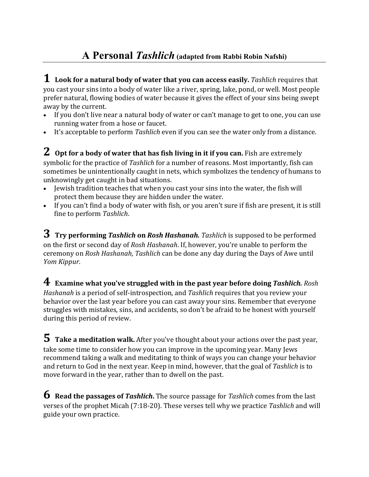## **A Personal** *Tashlich* **(adapted from Rabbi Robin Nafshi)**

**1 Look for <sup>a</sup> natural body of water that you can access easily.** *Tashlich* requires that you cast your sins into a body of water like a river, spring, lake, pond, or well. Most people prefer natural, flowing bodies of water because it gives the effect of your sins being swept away by the current.

- If you don't live near a natural body of water or can't manage to get to one, you can use running water from a hose or faucet.
- It's acceptable to perform *Tashlich* even if you can see the water only from a distance.

**2 Opt for <sup>a</sup> body of water that has fish living in it if you can.** Fish are extremely symbolic for the practice of *Tashlich* for a number of reasons. Most importantly, fish can sometimes be unintentionally caught in nets, which symbolizes the tendency of humans to unknowingly get caught in bad situations.

- Jewish tradition teaches that when you cast your sins into the water, the fish will protect them because they are hidden under the water.
- If you can't find a body of water with fish, or you aren't sure if fish are present, it is still fine to perform *Tashlich*.

**3 Try performing** *Tashlich* **on** *Rosh Hashanah. Tashlich* is supposed to be performed on the first or second day of *Rosh Hashanah*. If, however, you're unable to perform the ceremony on *Rosh Hashanah, Tashlich* can be done any day during the Days of Awe until *Yom Kippur*.

**4 Examine what you've struggled with in the past year before doing** *Tashlich. Rosh Hashanah* is a period of self-introspection, and *Tashlich* requires that you review your behavior over the last year before you can cast away your sins. Remember that everyone struggles with mistakes, sins, and accidents, so don't be afraid to be honest with yourself during this period of review.

**5 Take <sup>a</sup> meditation walk.** After you've thought about your actions over the past year, take some time to consider how you can improve in the upcoming year. Many Jews recommend taking a walk and meditating to think of ways you can change your behavior and return to God in the next year. Keep in mind, however, that the goal of *Tashlich* is to move forward in the year, rather than to dwell on the past.

**6 Read the passages of** *Tashlich***.** The source passage for *Tashlich* comes from the last verses of the prophet Micah (7:18-20). These verses tell why we practice *Tashlich* and will guide your own practice.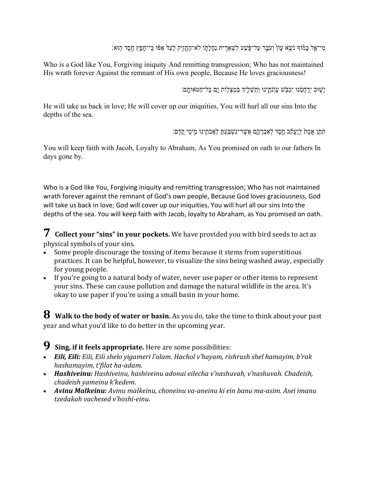ֹמִי־אֵל כַּמּוֹדְ נֹשֵׂא עַוֹן וְעֹבֵר עַל־פֶּ֫שַׁע לִשְׁאֵרִית נַחֲלַתְוֹ לֹא־הֶחֱזִיק לַעַדֹ אַפּֿוֹ כֵּי־חַפֵּץ חֵסֶד הִוּא:

Who is a God like You, Forgiving iniquity And remitting transgression; Who has not maintained His wrath forever Against the remnant of His own people, Because He loves graciousness!

יֵשׁוּב יְרֵחֲמֶנוּ יִכְבִּשׁ עֲוֹנֹתֵֽינוּ וְתַשָּׁלֵיךְ בִּמְצִלְוֹת יַם כַּל־חַטּאותַם:

He will take us back in love; He will cover up our iniquities, You will hurl all our sins Into the depths of the sea.

תִּתֵּן אֵמֶת לְיַעֲקֹב חֶסֶד לְאֲבְרָהָם אֱשֶׁר־נִשְׁבֵּעָת לַאֲבֹתֵינוּ מֵימֵי קֵדֶם:

You will keep faith with Jacob, Loyalty to Abraham, As You promised on oath to our fathers In days gone by.

Who is a God like You, Forgiving iniquity and remitting transgression; Who has not maintained wrath forever against the remnant of God's own people, Because God loves graciousness, God will take us back in love; God will cover up our iniquities, You will hurl all our sins Into the depths of the sea. You will keep faith with Jacob, loyalty to Abraham, as You promised on oath.

**7 Collect your "sins" in your pockets.** We have provided you with bird seeds to act as physical symbols of your sins.

- Some people discourage the tossing of items because it stems from superstitious practices. It can be helpful, however, to visualize the sins being washed away, especially for young people.
- If you're going to a natural body of water, never use paper or other items to represent your sins. These can cause pollution and damage the natural wildlife in the area. It's okay to use paper if you're using a small basin in your home.

**8 Walk to the body of water or basin.** As you do, take the time to think about your past year and what you'd like to do better in the upcoming year.

**9 Sing, if it feels appropriate.** Here are some possibilities:

- *Eili, Eili: Eili, Eili shelo yigameri l'olam. Hachol v'hayam, rishrush shel hamayim, b'rak hashamayim, t'filat ha-adam.*
- *Hashiveinu: Hashiveinu, hashiveinu adonai eilecha v'nashuvah, v'nashuvah. Chadeish, chadeish yameinu k'kedem*.
- *Avinu Malkeinu: Avinu malkeinu, choneinu va-aneinu ki ein banu ma-asim. Asei imanu tzedakah vachesed v'hoshi-einu.*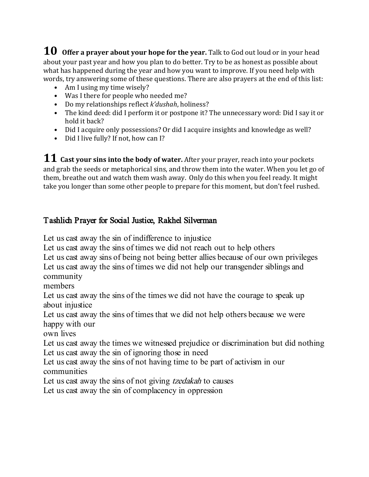**10 Offer <sup>a</sup> prayer about your hope for the year.** Talk to God out loud or in your head about your past year and how you plan to do better. Try to be as honest as possible about what has happened during the year and how you want to improve. If you need help with words, try answering some of these questions. There are also prayers at the end of this list:

- Am I using my time wisely?
- Was I there for people who needed me?
- Do my relationships reflect *k'dushah*, holiness?
- The kind deed: did I perform it or postpone it? The unnecessary word: Did I say it or hold it back?
- Did I acquire only possessions? Or did I acquire insights and knowledge as well?
- Did I live fully? If not, how can I?

**11 Cast your sins into the body of water.** After your prayer, reach into your pockets and grab the seeds or metaphorical sins, and throw them into the water. When you let go of them, breathe out and watch them wash away. Only do this when you feel ready. It might take you longer than some other people to prepare for this moment, but don't feel rushed.

## Tashlich Prayer for Social Justice, Rakhel Silverman

Let us cast away the sin of indifference to injustice

Let us cast away the sins of times we did not reach out to help others

Let us cast away sins of being not being better allies because of our own privileges Let us cast away the sins of times we did not help our transgender siblings and community

members

Let us cast away the sins of the times we did not have the courage to speak up about injustice

Let us cast away the sins of times that we did not help others because we were happy with our

own lives

Let us cast away the times we witnessed prejudice or discrimination but did nothing Let us cast away the sin of ignoring those in need

Let us cast away the sins of not having time to be part of activism in our communities

Let us cast away the sins of not giving *[tzedakah](about:blank#term375)* to causes

Let us cast away the sin of complacency in oppression